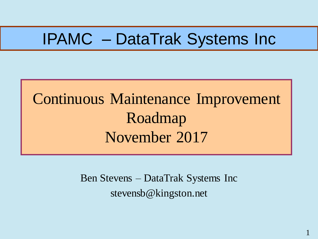## IPAMC – DataTrak Systems Inc

## Continuous Maintenance Improvement Roadmap November 2017

Ben Stevens – DataTrak Systems Inc stevensb@kingston.net

1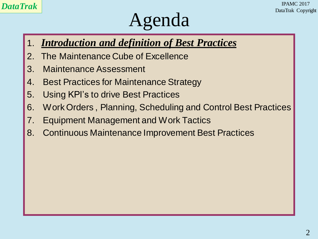## Agenda

- 1. *Introduction and definition of Best Practices*
- 2. The Maintenance Cube of Excellence
- 3. Maintenance Assessment
- 4. Best Practices for Maintenance Strategy
- 5. Using KPI's to drive Best Practices
- 6. Work Orders , Planning, Scheduling and Control Best Practices
- 7. Equipment Management and Work Tactics
- 8. Continuous Maintenance Improvement Best Practices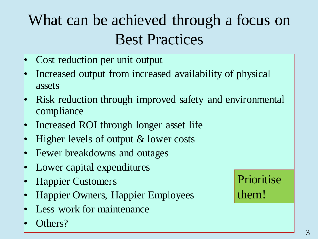## What can be achieved through a focus on Best Practices

- Cost reduction per unit output
- Increased output from increased availability of physical assets
- Risk reduction through improved safety and environmental compliance
- Increased ROI through longer asset life
- Higher levels of output & lower costs
- Fewer breakdowns and outages
- Lower capital expenditures
- Happier Customers
- Happier Owners, Happier Employees
- Less work for maintenance
- Others?

#### Prioritise them!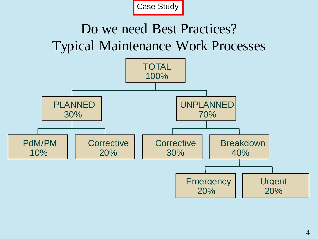

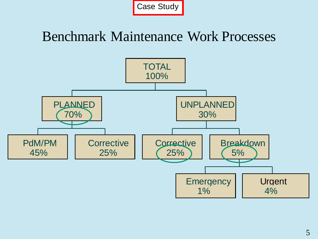

#### Benchmark Maintenance Work Processes

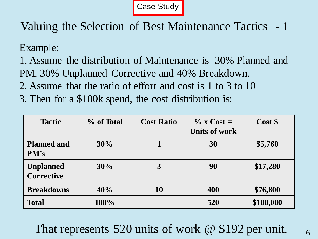Case Study

Valuing the Selection of Best Maintenance Tactics - 1

Example:

1. Assume the distribution of Maintenance is 30% Planned and PM, 30% Unplanned Corrective and 40% Breakdown.

- 2. Assume that the ratio of effort and cost is 1 to 3 to 10
- 3. Then for a \$100k spend, the cost distribution is:

| <b>Tactic</b>                         | % of Total | <b>Cost Ratio</b> | $\%$ x Cost =<br><b>Units of work</b> | Cost \$   |
|---------------------------------------|------------|-------------------|---------------------------------------|-----------|
| <b>Planned and</b><br>PM's            | 30%        |                   | 30                                    | \$5,760   |
| <b>Unplanned</b><br><b>Corrective</b> | 30%        | 3                 | 90                                    | \$17,280  |
| <b>Breakdowns</b>                     | 40%        | <b>10</b>         | 400                                   | \$76,800  |
| <b>Total</b>                          | 100%       |                   | 520                                   | \$100,000 |

That represents 520 units of work @ \$192 per unit.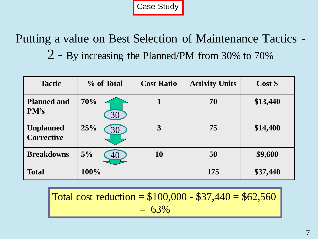Case Study

Putting a value on Best Selection of Maintenance Tactics - 2 - By increasing the Planned/PM from 30% to 70%

| <b>Tactic</b>                  | % of Total | <b>Cost Ratio</b> | <b>Activity Units</b> | Cost \$  |
|--------------------------------|------------|-------------------|-----------------------|----------|
| <b>Planned and</b><br>PM's     | 70%<br>30  |                   | 70                    | \$13,440 |
| <b>Unplanned</b><br>Corrective | 25%<br>30  | 3                 | 75                    | \$14,400 |
| <b>Breakdowns</b>              | 5%<br>40   | <b>10</b>         | 50                    | \$9,600  |
| <b>Total</b>                   | 100%       |                   | 175                   | \$37,440 |

Total cost reduction =  $$100,000 - $37,440 = $62,560$  $= 63\%$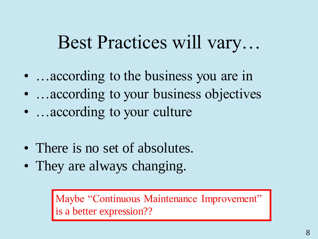## Best Practices will vary…

- …according to the business you are in
- …according to your business objectives
- …according to your culture
- There is no set of absolutes.
- They are always changing.

Maybe "Continuous Maintenance Improvement" is a better expression??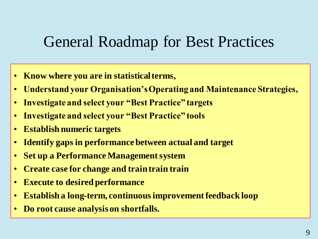### General Roadmap for Best Practices

- **Know where you are in statistical terms,**
- **Understand your Organisation's Operating and Maintenance Strategies,**
- **Investigate and select your "Best Practice" targets**
- **Investigate and select your "Best Practice" tools**
- **Establish numeric targets**
- **Identify gaps in performance between actual and target**
- **Set up a Performance Management system**
- **Create case for change and train train train**
- **Execute to desired performance**
- **Establish a long-term, continuous improvement feedback loop**
- **Do root cause analysis on shortfalls.**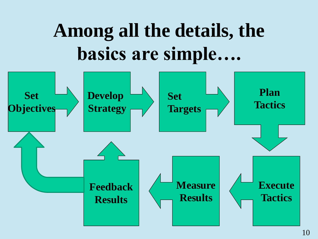# **Among all the details, the basics are simple….**

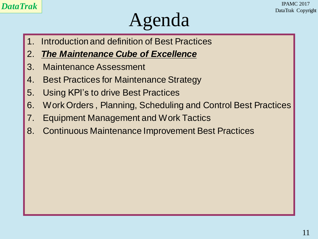## Agenda

- 1. Introduction and definition of Best Practices
- 2. *The Maintenance Cube of Excellence*
- 3. Maintenance Assessment
- 4. Best Practices for Maintenance Strategy
- 5. Using KPI's to drive Best Practices
- 6. Work Orders , Planning, Scheduling and Control Best Practices
- 7. Equipment Management and Work Tactics
- 8. Continuous Maintenance Improvement Best Practices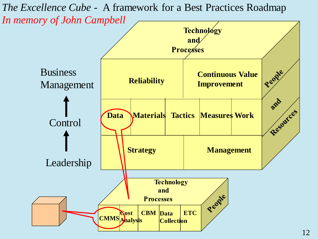*The Excellence Cube -* A framework for a Best Practices Roadmap *In memory of John Campbell*

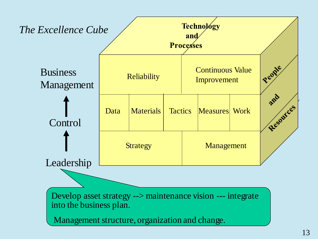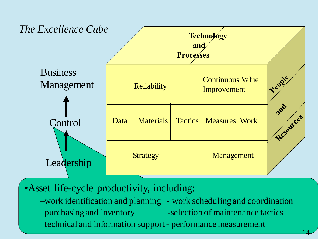

•Asset life-cycle productivity, including:

–work identification and planning - work scheduling and coordination –purchasing and inventory eselection of maintenance tactics –technical and information support - performance measurement

14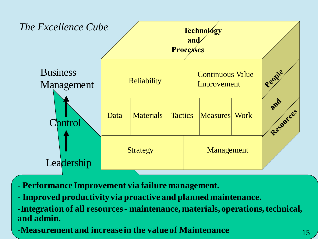

**- Performance Improvement via failure management.**

**- Improved productivity via proactive and planned maintenance.**

-**Integration of all resources - maintenance, materials, operations, technical, and admin.**

-**Measurement and increase in the value of Maintenance** 15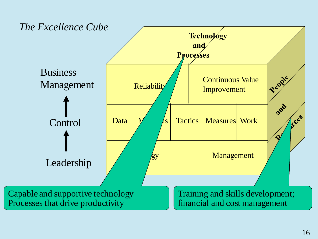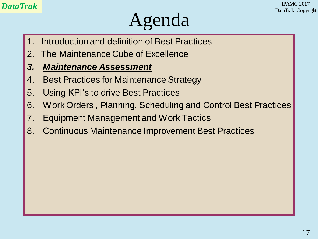## Agenda

- Introduction and definition of Best Practices
- 2. The Maintenance Cube of Excellence
- *3. Maintenance Assessment*
- 4. Best Practices for Maintenance Strategy
- 5. Using KPI's to drive Best Practices
- 6. Work Orders , Planning, Scheduling and Control Best Practices
- 7. Equipment Management and Work Tactics
- 8. Continuous Maintenance Improvement Best Practices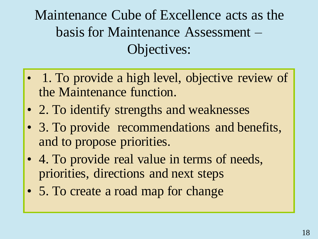Maintenance Cube of Excellence acts as the basis for Maintenance Assessment – Objectives:

- 1. To provide a high level, objective review of the Maintenance function.
- 2. To identify strengths and weaknesses
- 3. To provide recommendations and benefits, and to propose priorities.
- 4. To provide real value in terms of needs, priorities, directions and next steps
- 5. To create a road map for change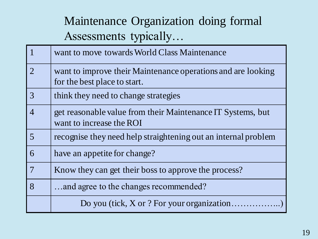#### Maintenance Organization doing formal Assessments typically…

|                             | want to move towards World Class Maintenance                                                 |
|-----------------------------|----------------------------------------------------------------------------------------------|
| $\mathcal{D}_{\mathcal{L}}$ | want to improve their Maintenance operations and are looking<br>for the best place to start. |
| 3                           | think they need to change strategies                                                         |
| $\overline{4}$              | get reasonable value from their Maintenance IT Systems, but<br>want to increase the ROI      |
| 5                           | recognise they need help straightening out an internal problem                               |
| 6                           | have an appetite for change?                                                                 |
|                             | Know they can get their boss to approve the process?                                         |
| 8                           | and agree to the changes recommended?                                                        |
|                             | Do you (tick, X or ? For your organization                                                   |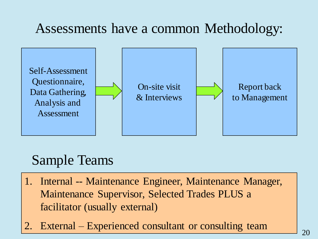#### Assessments have a common Methodology:



#### Sample Teams

- 1. Internal -- Maintenance Engineer, Maintenance Manager, Maintenance Supervisor, Selected Trades PLUS a facilitator (usually external)
- 2. External Experienced consultant or consulting team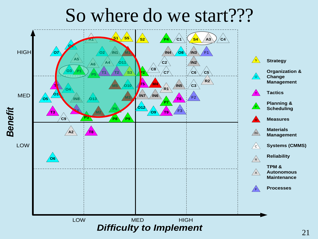## So where do we start???

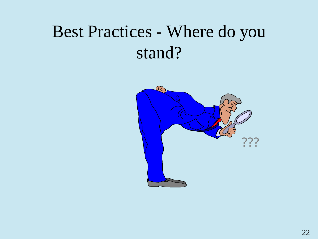## Best Practices - Where do you stand?

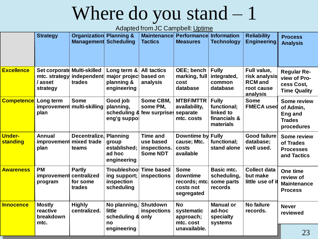# Where do you stand – 1

Adapted from JC Campbell: Uptime

|                           | <b>Strategy</b>                                       | <b>Organization</b><br><b>Management</b>           | <b>Planning &amp;</b><br><b>Scheduling</b>                        | <b>Maintenance</b><br><b>Tactics</b>                            | <b>Performancel</b><br><b>Measures</b>                              | <b>Information</b><br><b>Technology</b>                               | <b>Reliability</b><br><b>Engineering</b>                                 | <b>Process</b><br><b>Analysis</b>                                         |
|---------------------------|-------------------------------------------------------|----------------------------------------------------|-------------------------------------------------------------------|-----------------------------------------------------------------|---------------------------------------------------------------------|-----------------------------------------------------------------------|--------------------------------------------------------------------------|---------------------------------------------------------------------------|
| <b>Excellence</b>         | Set corporate<br>mtc. strategy<br>/ asset<br>strategy | <b>Multi-skilled</b><br>independent<br>trades      | Long term &<br>major project<br>planning &<br>engineering         | <b>All tactics</b><br>based on<br>analysis                      | OEE; bench<br>marking, full<br>cost<br>database                     | <b>Fully</b><br>integrated,<br>common<br>database                     | Full value,<br>risk analysis<br><b>RCM</b> and<br>root cause<br>analysis | <b>Regular Re-</b><br>view of Pro-<br>cess Cost,<br><b>Time Quality</b>   |
| <b>Competence</b>         | Long term<br>improvement<br>plan                      | <b>Some</b><br>multi-skilling                      | Good job<br>planning,<br>eng'g suppol                             | Some CBM,<br>some PM,<br>scheduling & few surprises separate    | <b>MTBF/MTTR</b><br>availability,<br>mtc. costs                     | <b>Fully</b><br>functional:<br>linked to<br>financials &<br>materials | <b>Some</b><br><b>FMECA used</b>                                         | <b>Some review</b><br>of Admin,<br>Eng and<br><b>Trades</b><br>procedures |
| <b>Under-</b><br>standing | Annual<br>improvement<br>plan                         | <b>Decentralize</b><br>mixed trade<br>teams        | <b>Planning</b><br>group<br>established;<br>ad hoc<br>engineering | <b>Time and</b><br>use based<br>inspections.<br><b>Some NDT</b> | Downtime by<br>cause; Mtc.<br>costs<br>available                    | <b>Fully</b><br>functional;<br>stand alone                            | <b>Good failure</b><br>database;<br>well used.                           | <b>Some review</b><br>of Trades<br><b>Processes</b><br>and Tactics        |
| <b>Awareness</b>          | <b>PM</b><br>improvement<br>program                   | <b>Partly</b><br>centralized<br>for some<br>trades | <b>Troubleshoo</b><br>ing support;<br>inspection<br>scheduling    | <b>Time based</b><br>inspections                                | <b>Some</b><br>downtime<br>records; mtc.<br>costs not<br>segregated | <b>Basic mtc.</b><br>scheduling,<br>some parts<br>records             | <b>Collect data</b><br>but make<br>little use of it                      | One time<br>review of<br><b>Maintenance</b><br><b>Process</b>             |
| <b>Innocence</b>          | <b>Mostly</b><br>reactive<br>breakdown<br>mtc.        | <b>Highly</b><br>centralized.                      | No planning, Shutdown<br>little<br>scheduling & only<br>no        | inspections                                                     | <b>No</b><br>systematic<br>approach;<br>mtc. cost                   | <b>Manual or</b><br>ad-hoc<br>specialty<br>systems                    | <b>No failure</b><br>records.                                            | <b>Never</b><br>reviewed                                                  |
|                           |                                                       |                                                    | engineering                                                       |                                                                 | unavailable.                                                        |                                                                       |                                                                          | 23                                                                        |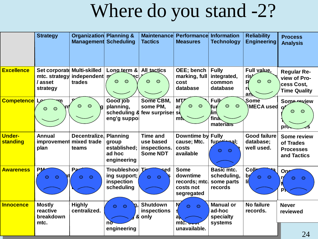## Where do you stand -2?

|                           | <b>Strategy</b>                                       | <b>Organization Planning &amp;</b><br><b>Management Scheduling</b> |                                                                   | <b>Maintenance</b><br><b>Tactics</b>                            | Performance<br><b>Measures</b>                                       | <b>Information</b><br><b>Technology</b>                           | <b>Reliability</b><br><b>Engineering</b>                               | <b>Process</b><br><b>Analysis</b>                                       |
|---------------------------|-------------------------------------------------------|--------------------------------------------------------------------|-------------------------------------------------------------------|-----------------------------------------------------------------|----------------------------------------------------------------------|-------------------------------------------------------------------|------------------------------------------------------------------------|-------------------------------------------------------------------------|
| <b>Excellence</b>         | Set corporate<br>mtc. strategy<br>/ asset<br>strategy | <b>Multi-skilled</b><br>independent m<br>trades                    | Long term &<br>$\circ$<br>$\circ$                                 | <b>All tactics</b><br>$\circ$<br>$\circ$                        | <b>OEE</b> ; bench<br>marking, full<br>cost<br>database              | <b>Fully</b><br>integrated,<br>common<br>database                 | Full value,<br>ris <sup>y</sup><br>$\circ$<br>R<br>$\circ$<br>rd<br>an | <b>Regular Re-</b><br>view of Pro-<br>cess Cost.<br><b>Time Quality</b> |
| <b>Competence</b>         | $\mathsf{I}$ e<br>$\circ$<br>$\circ$                  | $\circ$                                                            | Good job<br>planning,<br>eng'g suppol                             | Some CBM,<br>some PM,<br>scheduling 8 few surprises             | MT<br>$\circ$<br>$\circ$<br>a <sub>y</sub><br><b>SC</b><br>mt        | Fully<br>$\bullet$<br>$\circ$<br>fuı<br>∕lin<br>fina<br>materiars | Some<br>MECA used                                                      | <b>Some review</b><br>$\mathbf{o'}$<br>$\circ$<br>$\circ$<br>pro        |
| <b>Under-</b><br>standing | Annual<br>improvement<br>plan                         | Decentralize.<br>mixed trade<br>teams                              | <b>Planning</b><br>group<br>established:<br>ad hoc<br>engineering | <b>Time and</b><br>use based<br>inspections.<br><b>Some NDT</b> | Downtime by<br>cause; Mtc.<br>costs<br>available                     | <b>Fully</b><br>fupetingl;<br>$\bigcirc$<br>$\bigcirc$            | <b>Good failure</b><br>database;<br>well used.                         | Some review<br>of Trades<br><b>Processes</b><br>and Tactics             |
| <b>Awareness</b>          | <b>PM</b><br>$\circ$<br>$\bigcirc$                    | P <sub>2</sub><br>$\circ$<br>O                                     | Troubleshoo Tim<br>ing support;<br>inspection<br>scheduling       | sed<br>$\bullet$<br>$\circ$                                     | <b>Some</b><br>downtime<br>records; mtc.<br>costs not<br>segregated  | <b>Basic mtc.</b><br>scheduling,<br>some parts<br>records         | Colle<br>b <sub>r</sub><br>$\circ$<br>$\bigcirc$<br>li                 | Op <sub>e</sub><br>$\bigcirc$<br>$\bigcirc$<br>P                        |
| <b>Innocence</b>          | <b>Mostly</b><br>reactive<br>breakdown<br>mtc.        | <b>Highly</b><br>centralized.                                      | $\bigcirc$<br>$\bigcap$<br>8<br>nð                                | <b>Shutdown</b><br><b>inspections</b><br>only                   | N<br>$\bigcirc$<br>$\bigcirc$<br>a <sub>k</sub><br>mc <sub>cor</sub> | <b>Manual or</b><br>ad-hoc<br>specialty<br>systems                | No failure<br>records.                                                 | <b>Never</b><br>reviewed                                                |
|                           |                                                       |                                                                    | engineering                                                       |                                                                 | unavailable.                                                         |                                                                   |                                                                        | 24                                                                      |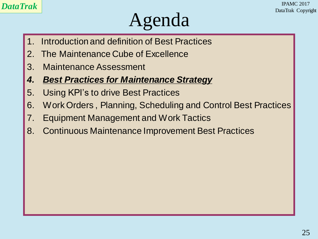#### *DataTrak* IPAMC 2017 DataTrak Copyright

## Agenda

- 1. Introduction and definition of Best Practices
- 2. The Maintenance Cube of Excellence
- 3. Maintenance Assessment
- *4. Best Practices for Maintenance Strategy*
- 5. Using KPI's to drive Best Practices
- 6. Work Orders , Planning, Scheduling and Control Best Practices
- 7. Equipment Management and Work Tactics
- 8. Continuous Maintenance Improvement Best Practices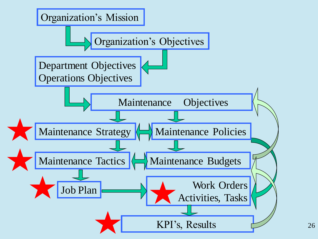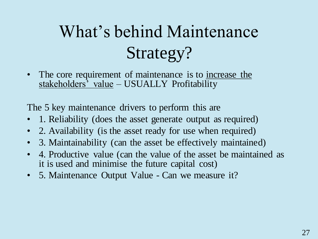## What's behind Maintenance Strategy?

• The core requirement of maintenance is to increase the stakeholders<sup>3</sup> value – USUALLY Profitability

The 5 key maintenance drivers to perform this are

- 1. Reliability (does the asset generate output as required)
- 2. Availability (is the asset ready for use when required)
- 3. Maintainability (can the asset be effectively maintained)
- 4. Productive value (can the value of the asset be maintained as it is used and minimise the future capital cost)
- 5. Maintenance Output Value Can we measure it?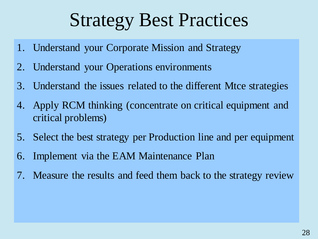## Strategy Best Practices

- 1. Understand your Corporate Mission and Strategy
- 2. Understand your Operations environments
- 3. Understand the issues related to the different Mtce strategies
- 4. Apply RCM thinking (concentrate on critical equipment and critical problems)
- 5. Select the best strategy per Production line and per equipment
- 6. Implement via the EAM Maintenance Plan
- 7. Measure the results and feed them back to the strategy review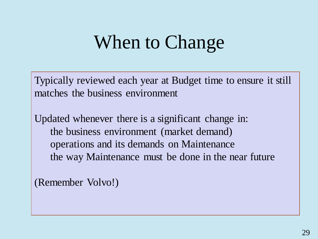## When to Change

Typically reviewed each year at Budget time to ensure it still matches the business environment

Updated whenever there is a significant change in: the business environment (market demand) operations and its demands on Maintenance the way Maintenance must be done in the near future

(Remember Volvo!)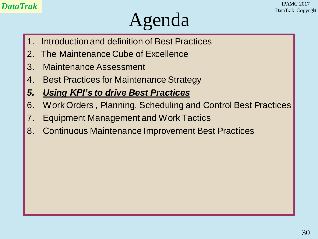#### *DataTrak* IPAMC 2017 DataTrak Copyright

## Agenda

- 1. Introduction and definition of Best Practices
- 2. The Maintenance Cube of Excellence
- 3. Maintenance Assessment
- 4. Best Practices for Maintenance Strategy
- *5. Using KPI's to drive Best Practices*
- 6. Work Orders , Planning, Scheduling and Control Best Practices
- 7. Equipment Management and Work Tactics
- 8. Continuous Maintenance Improvement Best Practices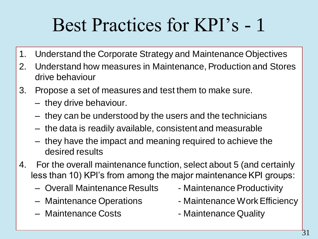# Best Practices for KPI's - 1

- 1. Understand the Corporate Strategy and Maintenance Objectives
- 2. Understand how measures in Maintenance, Production and Stores drive behaviour
- 3. Propose a set of measures and test them to make sure.
	- they drive behaviour.
	- they can be understood by the users and the technicians
	- the data is readily available, consistent and measurable
	- they have the impact and meaning required to achieve the desired results
- 4. For the overall maintenance function, select about 5 (and certainly less than 10) KPI's from among the major maintenance KPI groups:
	- Overall Maintenance Results Maintenance Productivity
	-
	- Maintenance Costs  **Maintenance Quality**
- - Maintenance Operations Maintenance Work Efficiency
		-

31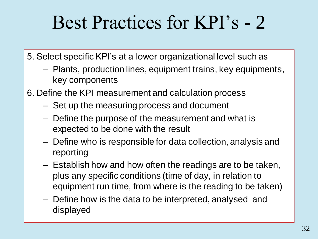## Best Practices for KPI's - 2

5. Select specific KPI's at a lower organizational level such as

- Plants, production lines, equipment trains, key equipments, key components
- 6. Define the KPI measurement and calculation process
	- Set up the measuring process and document
	- Define the purpose of the measurement and what is expected to be done with the result
	- Define who is responsible for data collection, analysis and reporting
	- Establish how and how often the readings are to be taken, plus any specific conditions (time of day, in relation to equipment run time, from where is the reading to be taken)
	- Define how is the data to be interpreted, analysed and displayed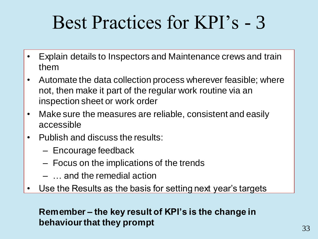## Best Practices for KPI's - 3

- Explain details to Inspectors and Maintenance crews and train them
- Automate the data collection process wherever feasible; where not, then make it part of the regular work routine via an inspection sheet or work order
- Make sure the measures are reliable, consistent and easily accessible
- Publish and discuss the results:
	- Encourage feedback
	- Focus on the implications of the trends
	- … and the remedial action
- Use the Results as the basis for setting next year's targets

#### **Remember – the key result of KPI's is the change in behaviour that they prompt**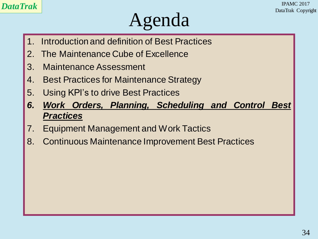## Agenda

- 1. Introduction and definition of Best Practices
- 2. The Maintenance Cube of Excellence
- 3. Maintenance Assessment
- 4. Best Practices for Maintenance Strategy
- 5. Using KPI's to drive Best Practices
- *6. Work Orders, Planning, Scheduling and Control Best Practices*
- 7. Equipment Management and Work Tactics
- 8. Continuous Maintenance Improvement Best Practices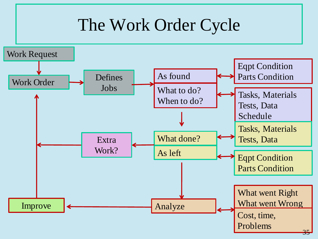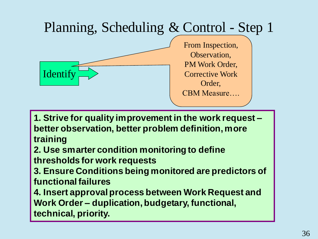#### Planning, Scheduling & Control - Step 1 Identify From Inspection, Observation, PM Work Order, Corrective Work Order, CBM Measure….

**1. Strive for quality improvement in the work request – better observation, better problem definition, more training**

**2. Use smarter condition monitoring to define thresholds for work requests**

**3. Ensure Conditions being monitored are predictors of** 

**functional failures** 

**4. Insert approval process between Work Request and Work Order – duplication, budgetary, functional, technical, priority.**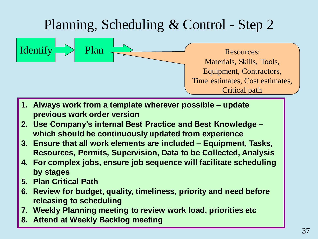

Materials, Skills, Tools, Equipment, Contractors, Time estimates, Cost estimates, Critical path

- **1. Always work from a template wherever possible – update previous work order version**
- **2. Use Company's internal Best Practice and Best Knowledge – which should be continuously updated from experience**
- **3. Ensure that all work elements are included – Equipment, Tasks, Resources, Permits, Supervision, Data to be Collected, Analysis**
- **4. For complex jobs, ensure job sequence will facilitate scheduling by stages**
- **5. Plan Critical Path**
- **6. Review for budget, quality, timeliness, priority and need before releasing to scheduling**
- **7. Weekly Planning meeting to review work load, priorities etc**
- **8. Attend at Weekly Backlog meeting**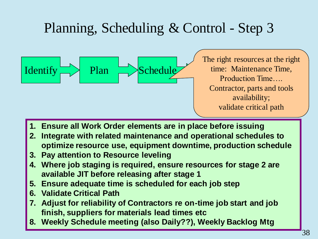

The right resources at the right time: Maintenance Time, Production Time…. Contractor, parts and tools availability; validate critical path

- **1. Ensure all Work Order elements are in place before issuing**
- **2. Integrate with related maintenance and operational schedules to optimize resource use, equipment downtime, production schedule**
- **3. Pay attention to Resource leveling**
- **4. Where job staging is required, ensure resources for stage 2 are available JIT before releasing after stage 1**
- **5. Ensure adequate time is scheduled for each job step**
- **6. Validate Critical Path**
- **7. Adjust for reliability of Contractors re on-time job start and job finish, suppliers for materials lead times etc**
- **8. Weekly Schedule meeting (also Daily??), Weekly Backlog Mtg**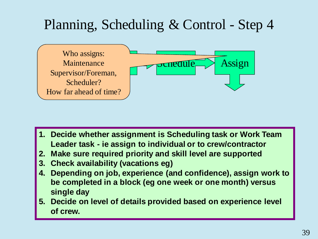

- **1. Decide whether assignment is Scheduling task or Work Team Leader task - ie assign to individual or to crew/contractor**
- **2. Make sure required priority and skill level are supported**
- **3. Check availability (vacations eg)**
- **4. Depending on job, experience (and confidence), assign work to be completed in a block (eg one week or one month) versus single day**
- **5. Decide on level of details provided based on experience level of crew.**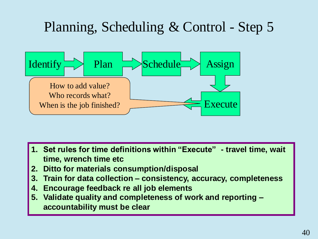

- **1. Set rules for time definitions within "Execute" - travel time, wait time, wrench time etc**
- **2. Ditto for materials consumption/disposal**
- **3. Train for data collection – consistency, accuracy, completeness**
- **4. Encourage feedback re all job elements**
- **5. Validate quality and completeness of work and reporting – accountability must be clear**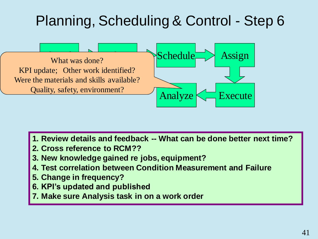

- **1. Review details and feedback -- What can be done better next time?**
- **2. Cross reference to RCM??**
- **3. New knowledge gained re jobs, equipment?**
- **4. Test correlation between Condition Measurement and Failure**
- **5. Change in frequency?**
- **6. KPI's updated and published**
- **7. Make sure Analysis task in on a work order**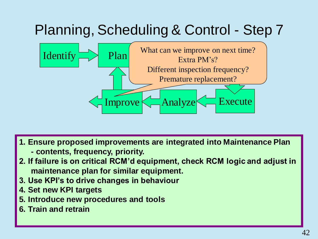

- **1. Ensure proposed improvements are integrated into Maintenance Plan**
	- **- contents, frequency, priority.**
- **2. If failure is on critical RCM'd equipment, check RCM logic and adjust in maintenance plan for similar equipment.**
- **3. Use KPI's to drive changes in behaviour**
- **4. Set new KPI targets**
- **5. Introduce new procedures and tools**
- **6. Train and retrain**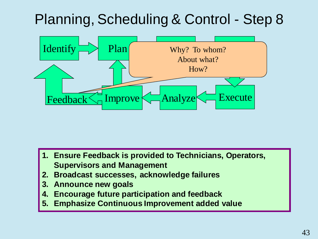

- **1. Ensure Feedback is provided to Technicians, Operators, Supervisors and Management**
- **2. Broadcast successes, acknowledge failures**
- **3. Announce new goals**
- **4. Encourage future participation and feedback**
- **5. Emphasize Continuous Improvement added value**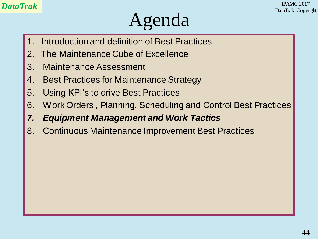## Agenda

- 1. Introduction and definition of Best Practices
- 2. The Maintenance Cube of Excellence
- 3. Maintenance Assessment
- 4. Best Practices for Maintenance Strategy
- 5. Using KPI's to drive Best Practices
- 6. Work Orders , Planning, Scheduling and Control Best Practices
- *7. Equipment Management and Work Tactics*
- 8. Continuous Maintenance Improvement Best Practices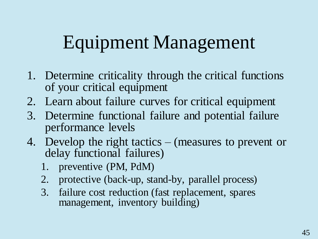# Equipment Management

- 1. Determine criticality through the critical functions of your critical equipment
- 2. Learn about failure curves for critical equipment
- 3. Determine functional failure and potential failure performance levels
- 4. Develop the right tactics (measures to prevent or delay functional failures)
	- 1. preventive (PM, PdM)
	- 2. protective (back-up, stand-by, parallel process)
	- 3. failure cost reduction (fast replacement, spares management, inventory building)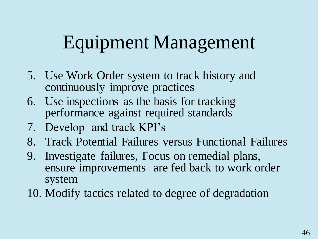# Equipment Management

- 5. Use Work Order system to track history and continuously improve practices
- 6. Use inspections as the basis for tracking performance against required standards
- 7. Develop and track KPI's
- 8. Track Potential Failures versus Functional Failures
- 9. Investigate failures, Focus on remedial plans, ensure improvements are fed back to work order system
- 10. Modify tactics related to degree of degradation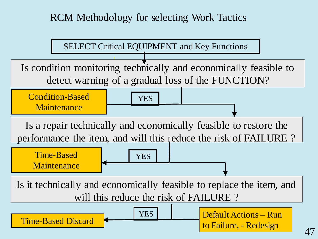RCM Methodology for selecting Work Tactics

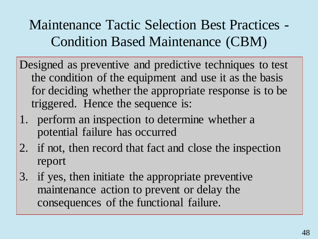Maintenance Tactic Selection Best Practices - Condition Based Maintenance (CBM)

Designed as preventive and predictive techniques to test the condition of the equipment and use it as the basis for deciding whether the appropriate response is to be triggered. Hence the sequence is:

- 1. perform an inspection to determine whether a potential failure has occurred
- 2. if not, then record that fact and close the inspection report
- 3. if yes, then initiate the appropriate preventive maintenance action to prevent or delay the consequences of the functional failure.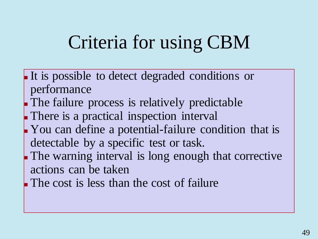# Criteria for using CBM

- It is possible to detect degraded conditions or performance
- The failure process is relatively predictable
- There is a practical inspection interval
- You can define a potential-failure condition that is detectable by a specific test or task.
- The warning interval is long enough that corrective actions can be taken
- The cost is less than the cost of failure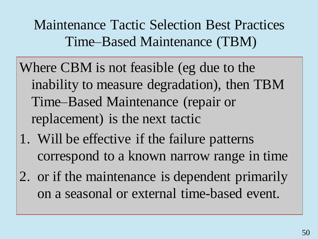Maintenance Tactic Selection Best Practices Time–Based Maintenance (TBM)

- Where CBM is not feasible (eg due to the inability to measure degradation), then TBM Time–Based Maintenance (repair or replacement) is the next tactic
- 1. Will be effective if the failure patterns correspond to a known narrow range in time
- 2. or if the maintenance is dependent primarily on a seasonal or external time-based event.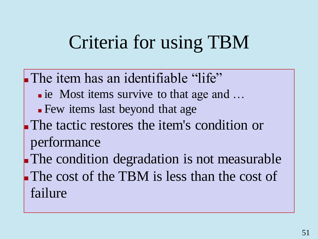# Criteria for using TBM

The item has an identifiable "life" ■ ie Most items survive to that age and ... Few items last beyond that age The tactic restores the item's condition or performance The condition degradation is not measurable The cost of the TBM is less than the cost of failure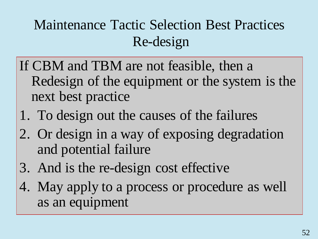## Maintenance Tactic Selection Best Practices Re-design

- If CBM and TBM are not feasible, then a Redesign of the equipment or the system is the next best practice
- 1. To design out the causes of the failures
- 2. Or design in a way of exposing degradation and potential failure
- 3. And is the re-design cost effective
- 4. May apply to a process or procedure as well as an equipment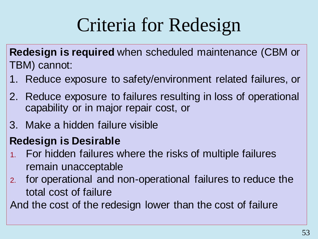# Criteria for Redesign

**Redesign is required** when scheduled maintenance (CBM or TBM) cannot:

- 1. Reduce exposure to safety/environment related failures, or
- 2. Reduce exposure to failures resulting in loss of operational capability or in major repair cost, or
- 3. Make a hidden failure visible

#### **Redesign is Desirable**

- 1. For hidden failures where the risks of multiple failures remain unacceptable
- 2. for operational and non-operational failures to reduce the total cost of failure

And the cost of the redesign lower than the cost of failure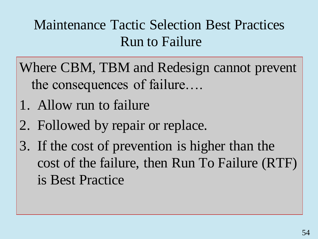### Maintenance Tactic Selection Best Practices Run to Failure

- Where CBM, TBM and Redesign cannot prevent the consequences of failure….
- 1. Allow run to failure
- 2. Followed by repair or replace.
- 3. If the cost of prevention is higher than the cost of the failure, then Run To Failure (RTF) is Best Practice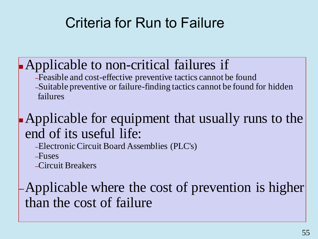## Criteria for Run to Failure

Applicable to non-critical failures if –Feasible and cost-effective preventive tactics cannot be found –Suitable preventive or failure-finding tactics cannot be found for hidden failures

#### Applicable for equipment that usually runs to the end of its useful life:

–Electronic Circuit Board Assemblies (PLC's)

–Fuses

–Circuit Breakers

–Applicable where the cost of prevention is higher than the cost of failure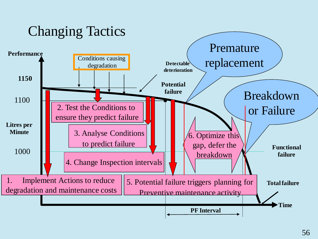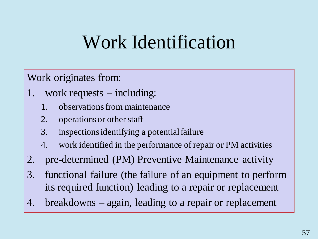## Work Identification

#### Work originates from:

- 1. work requests including:
	- 1. observations from maintenance
	- 2. operations or other staff
	- 3. inspections identifying a potential failure
	- 4. work identified in the performance of repair or PM activities
- 2. pre-determined (PM) Preventive Maintenance activity
- 3. functional failure (the failure of an equipment to perform its required function) leading to a repair or replacement
- 4. breakdowns again, leading to a repair or replacement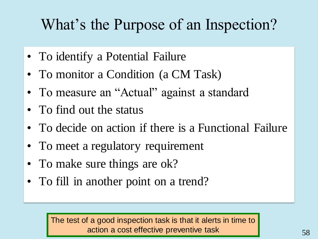## What's the Purpose of an Inspection?

- To identify a Potential Failure
- To monitor a Condition (a CM Task)
- To measure an "Actual" against a standard
- To find out the status
- To decide on action if there is a Functional Failure
- To meet a regulatory requirement
- To make sure things are ok?
- To fill in another point on a trend?

The test of a good inspection task is that it alerts in time to action a cost effective preventive task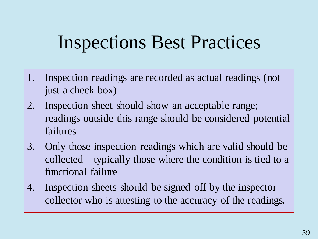## Inspections Best Practices

- 1. Inspection readings are recorded as actual readings (not just a check box)
- 2. Inspection sheet should show an acceptable range; readings outside this range should be considered potential failures
- 3. Only those inspection readings which are valid should be collected – typically those where the condition is tied to a functional failure
- 4. Inspection sheets should be signed off by the inspector collector who is attesting to the accuracy of the readings.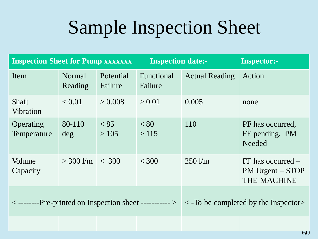# Sample Inspection Sheet

| <b>Inspection Sheet for Pump xxxxxxx</b>                                                                           |                     |                      | <b>Inspection date:-</b> |                       | <b>Inspector:-</b>                                              |
|--------------------------------------------------------------------------------------------------------------------|---------------------|----------------------|--------------------------|-----------------------|-----------------------------------------------------------------|
| Item                                                                                                               | Normal<br>Reading   | Potential<br>Failure | Functional<br>Failure    | <b>Actual Reading</b> | Action                                                          |
| <b>Shaft</b><br><b>Vibration</b>                                                                                   | < 0.01              | > 0.008              | > 0.01                   | 0.005                 | none                                                            |
| Operating<br>Temperature                                                                                           | 80-110<br>deg       | < 85<br>>105         | < 80<br>>115             | 110                   | PF has occurred.<br>FF pending. PM<br>Needed                    |
| Volume<br>Capacity                                                                                                 | $>$ 300 l/m $<$ 300 |                      | < 300                    | $250 \text{ Vm}$      | $FF$ has occurred $-$<br>PM Urgent – STOP<br><b>THE MACHINE</b> |
| $\langle$ --------Pre-printed on Inspection sheet ----------> $\langle \rangle$ <-To be completed by the Inspector |                     |                      |                          |                       |                                                                 |
|                                                                                                                    |                     |                      |                          |                       |                                                                 |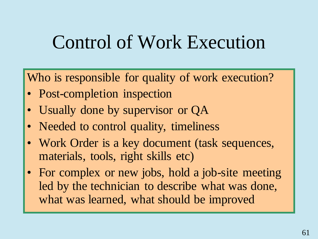## Control of Work Execution

Who is responsible for quality of work execution?

- Post-completion inspection
- Usually done by supervisor or QA
- Needed to control quality, timeliness
- Work Order is a key document (task sequences, materials, tools, right skills etc)
- For complex or new jobs, hold a job-site meeting led by the technician to describe what was done, what was learned, what should be improved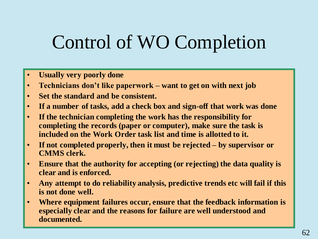# Control of WO Completion

- **Usually very poorly done**
- **Technicians don't like paperwork – want to get on with next job**
- **Set the standard and be consistent.**
- **If a number of tasks, add a check box and sign-off that work was done**
- **If the technician completing the work has the responsibility for completing the records (paper or computer), make sure the task is included on the Work Order task list and time is allotted to it.**
- **If not completed properly, then it must be rejected – by supervisor or CMMS clerk.**
- **Ensure that the authority for accepting (or rejecting) the data quality is clear and is enforced.**
- **Any attempt to do reliability analysis, predictive trends etc will fail if this is not done well.**
- **Where equipment failures occur, ensure that the feedback information is especially clear and the reasons for failure are well understood and documented.**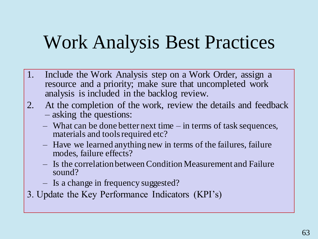## Work Analysis Best Practices

- 1. Include the Work Analysis step on a Work Order, assign a resource and a priority; make sure that uncompleted work analysis is included in the backlog review.
- 2. At the completion of the work, review the details and feedback – asking the questions:
	- What can be done better next time in terms of task sequences, materials and tools required etc?
	- Have we learned anything new in terms of the failures, failure modes, failure effects?
	- Is the correlation between Condition Measurement and Failure sound?
	- Is a change in frequency suggested?
- 3. Update the Key Performance Indicators (KPI's)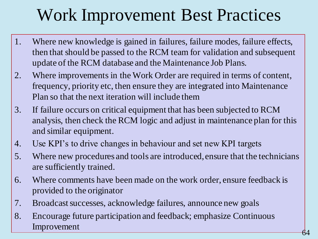## Work Improvement Best Practices

- 1. Where new knowledge is gained in failures, failure modes, failure effects, then that should be passed to the RCM team for validation and subsequent update of the RCM database and the Maintenance Job Plans.
- 2. Where improvements in the Work Order are required in terms of content, frequency, priority etc, then ensure they are integrated into Maintenance Plan so that the next iteration will include them
- 3. If failure occurs on critical equipment that has been subjected to RCM analysis, then check the RCM logic and adjust in maintenance plan for this and similar equipment.
- 4. Use KPI's to drive changes in behaviour and set new KPI targets
- 5. Where new procedures and tools are introduced, ensure that the technicians are sufficiently trained.
- 6. Where comments have been made on the work order, ensure feedback is provided to the originator
- 7. Broadcast successes, acknowledge failures, announce new goals
- 8. Encourage future participation and feedback; emphasize Continuous Improvement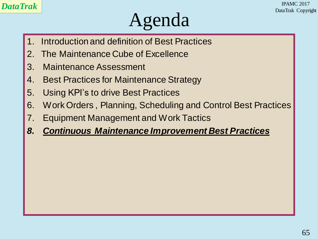#### *DataTrak* IPAMC 2017 DataTrak Copyright

## Agenda

- 1. Introduction and definition of Best Practices
- 2. The Maintenance Cube of Excellence
- 3. Maintenance Assessment
- 4. Best Practices for Maintenance Strategy
- 5. Using KPI's to drive Best Practices
- 6. Work Orders , Planning, Scheduling and Control Best Practices
- 7. Equipment Management and Work Tactics
- *8. Continuous Maintenance Improvement Best Practices*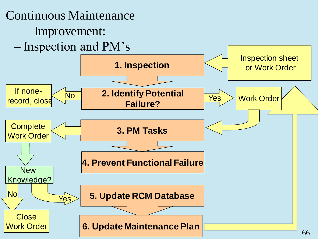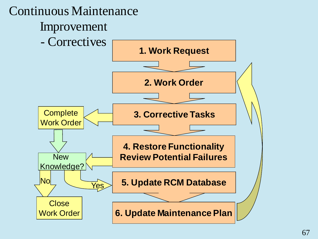![](_page_66_Figure_0.jpeg)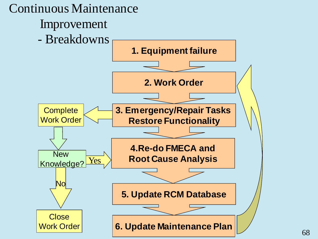![](_page_67_Figure_0.jpeg)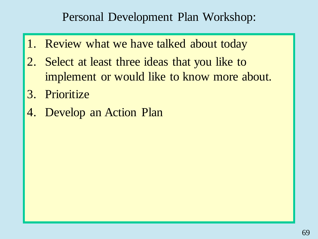#### Personal Development Plan Workshop:

- 1. Review what we have talked about today
- 2. Select at least three ideas that you like to implement or would like to know more about.
- 3. Prioritize
- 4. Develop an Action Plan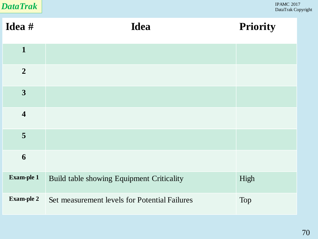| <b>DataTrak</b>         |                                               | <b>IPAMC 2017</b><br>DataTrak Copyright |  |
|-------------------------|-----------------------------------------------|-----------------------------------------|--|
| Idea #                  | <b>Idea</b>                                   | Priority                                |  |
| $\mathbf{1}$            |                                               |                                         |  |
| $\overline{2}$          |                                               |                                         |  |
| $\overline{\mathbf{3}}$ |                                               |                                         |  |
| $\overline{\mathbf{4}}$ |                                               |                                         |  |
| 5                       |                                               |                                         |  |
| 6                       |                                               |                                         |  |
| Exam-ple 1              | Build table showing Equipment Criticality     | High                                    |  |
| <b>Exam-ple 2</b>       | Set measurement levels for Potential Failures | Top                                     |  |